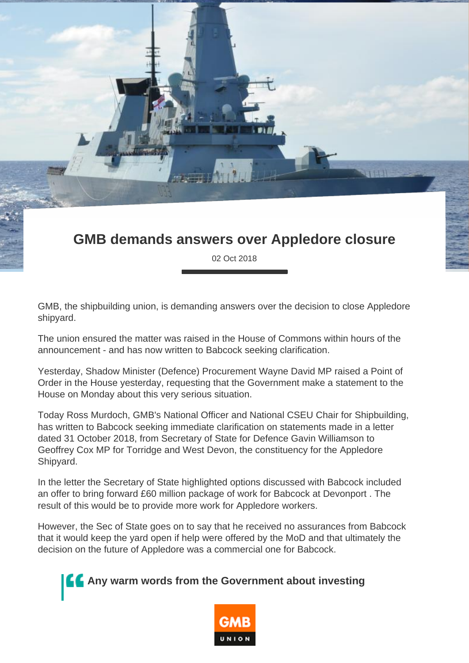## **GMB demands answers over Appledore closure**

02 Oct 2018

GMB, the shipbuilding union, is demanding answers over the decision to close Appledore shipyard.

The union ensured the matter was raised in the House of Commons within hours of the announcement - and has now written to Babcock seeking clarification.

Yesterday, Shadow Minister (Defence) Procurement Wayne David MP raised a Point of Order in the House yesterday, requesting that the Government make a statement to the House on Monday about this very serious situation.

Today Ross Murdoch, GMB's National Officer and National CSEU Chair for Shipbuilding, has written to Babcock seeking immediate clarification on statements made in a letter dated 31 October 2018, from Secretary of State for Defence Gavin Williamson to Geoffrey Cox MP for Torridge and West Devon, the constituency for the Appledore Shipyard.

In the letter the Secretary of State highlighted options discussed with Babcock included an offer to bring forward £60 million package of work for Babcock at Devonport . The result of this would be to provide more work for Appledore workers.

However, the Sec of State goes on to say that he received no assurances from Babcock that it would keep the yard open if help were offered by the MoD and that ultimately the decision on the future of Appledore was a commercial one for Babcock.